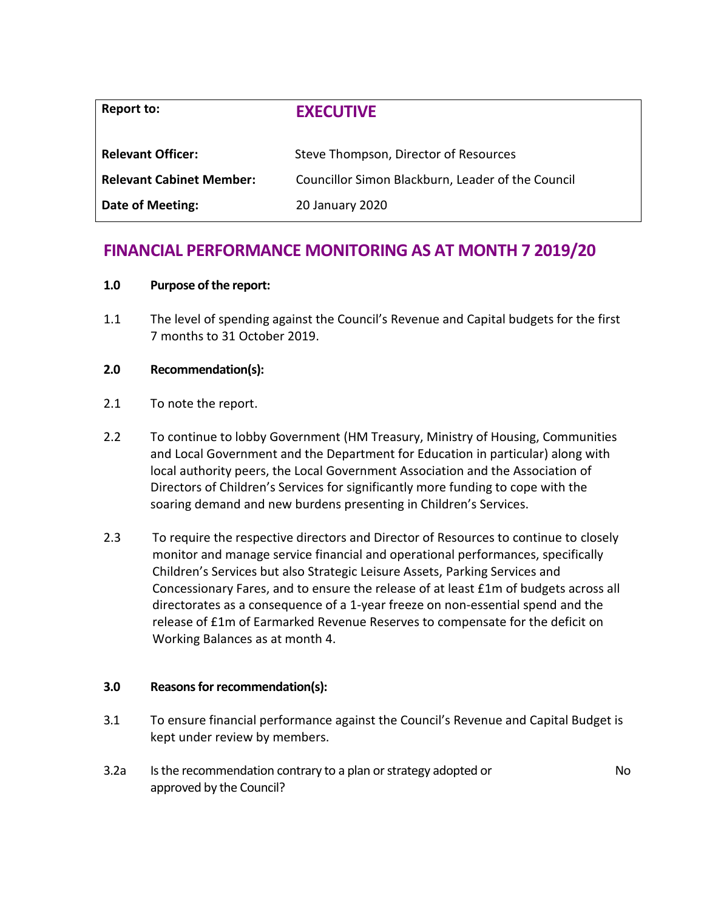| Report to:                      | <b>EXECUTIVE</b>                                  |
|---------------------------------|---------------------------------------------------|
| <b>Relevant Officer:</b>        | Steve Thompson, Director of Resources             |
| <b>Relevant Cabinet Member:</b> | Councillor Simon Blackburn, Leader of the Council |
| Date of Meeting:                | 20 January 2020                                   |

# **FINANCIAL PERFORMANCE MONITORING AS AT MONTH 7 2019/20**

# **1.0 Purpose of the report:**

1.1 The level of spending against the Council's Revenue and Capital budgets for the first 7 months to 31 October 2019.

# **2.0 Recommendation(s):**

- 2.1 To note the report.
- 2.2 To continue to lobby Government (HM Treasury, Ministry of Housing, Communities and Local Government and the Department for Education in particular) along with local authority peers, the Local Government Association and the Association of Directors of Children's Services for significantly more funding to cope with the soaring demand and new burdens presenting in Children's Services.
- 2.3 To require the respective directors and Director of Resources to continue to closely monitor and manage service financial and operational performances, specifically Children's Services but also Strategic Leisure Assets, Parking Services and Concessionary Fares, and to ensure the release of at least £1m of budgets across all directorates as a consequence of a 1-year freeze on non-essential spend and the release of £1m of Earmarked Revenue Reserves to compensate for the deficit on Working Balances as at month 4.

## **3.0 Reasons for recommendation(s):**

- 3.1 To ensure financial performance against the Council's Revenue and Capital Budget is kept under review by members.
- 3.2a Is the recommendation contrary to a plan or strategy adopted or approved by the Council?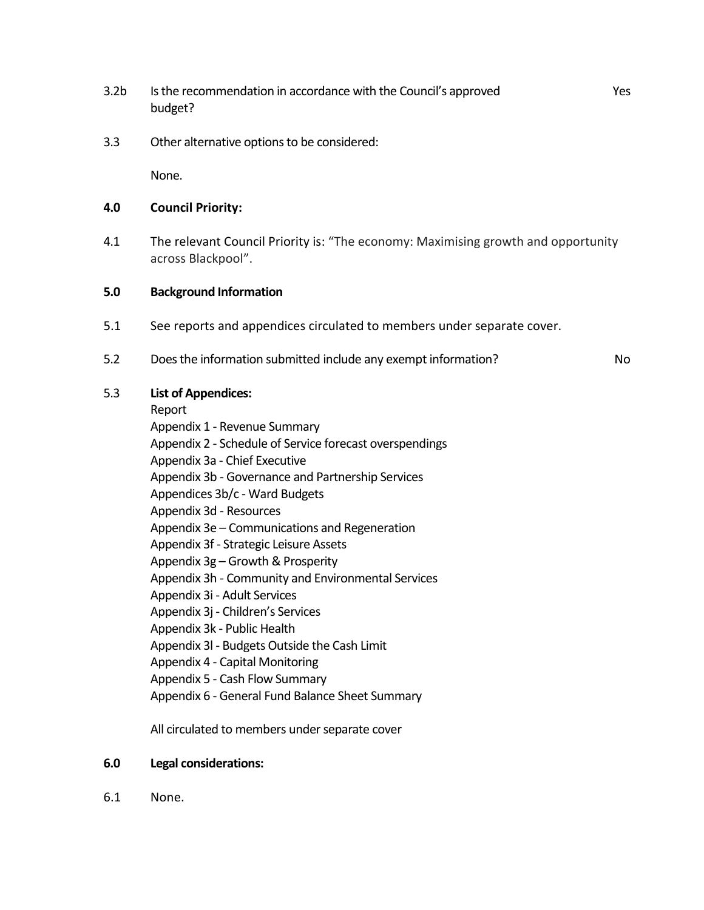- 3.2b Is the recommendation in accordance with the Council's approved budget?
- 3.3 Other alternative options to be considered:

None.

## **4.0 Council Priority:**

4.1 The relevant Council Priority is: "The economy: Maximising growth and opportunity across Blackpool".

## **5.0 Background Information**

- 5.1 See reports and appendices circulated to members under separate cover.
- 5.2 Does the information submitted include any exempt information? No

# 5.3 **List of Appendices:**

Report

Appendix 1 - Revenue Summary Appendix 2 - Schedule of Service forecast overspendings Appendix 3a - Chief Executive Appendix 3b - Governance and Partnership Services Appendices 3b/c - Ward Budgets Appendix 3d - Resources Appendix 3e – Communications and Regeneration Appendix 3f - Strategic Leisure Assets Appendix 3g – Growth & Prosperity Appendix 3h - Community and Environmental Services Appendix 3i - Adult Services Appendix 3j - Children's Services Appendix 3k - Public Health Appendix 3l - Budgets Outside the Cash Limit Appendix 4 - Capital Monitoring Appendix 5 - Cash Flow Summary Appendix 6 - General Fund Balance Sheet Summary

All circulated to members under separate cover

## **6.0 Legal considerations:**

6.1 None.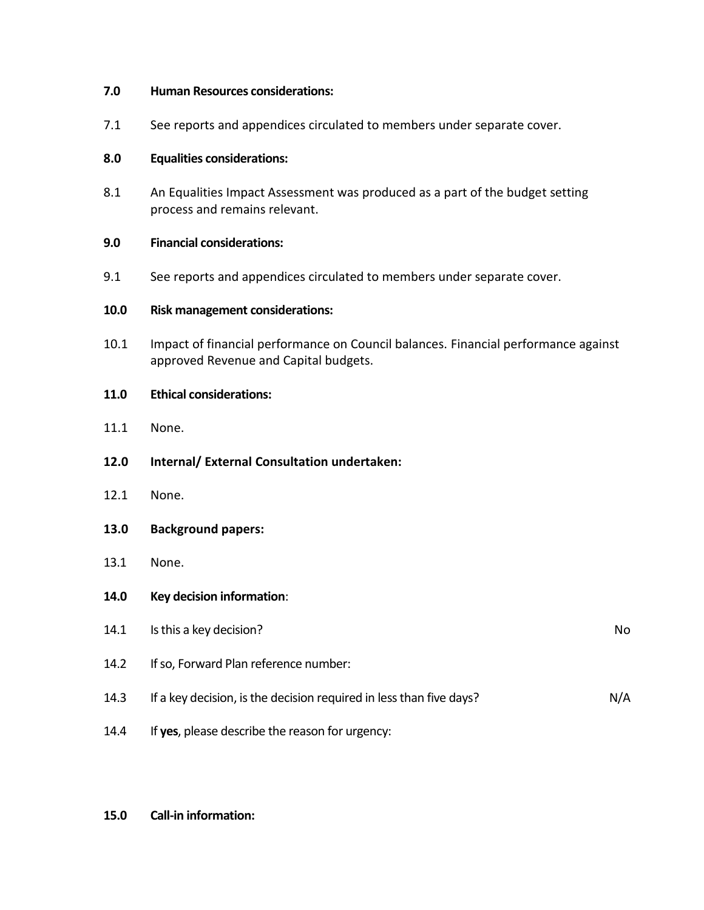## **7.0 Human Resources considerations:**

7.1 See reports and appendices circulated to members under separate cover.

# **8.0 Equalities considerations:**

8.1 An Equalities Impact Assessment was produced as a part of the budget setting process and remains relevant.

# **9.0 Financial considerations:**

9.1 See reports and appendices circulated to members under separate cover.

# **10.0 Risk management considerations:**

10.1 Impact of financial performance on Council balances. Financial performance against approved Revenue and Capital budgets.

# **11.0 Ethical considerations:**

- 11.1 None.
- **12.0 Internal/ External Consultation undertaken:**
- 12.1 None.
- **13.0 Background papers:**
- 13.1 None.
- **14.0 Key decision information**:
- 14.1 Is this a key decision? No 14.2 If so, Forward Plan reference number: 14.3 If a key decision, is the decision required in less than five days? In the state of N/A 14.4 If **yes**, please describe the reason for urgency:

# **15.0 Call-in information:**